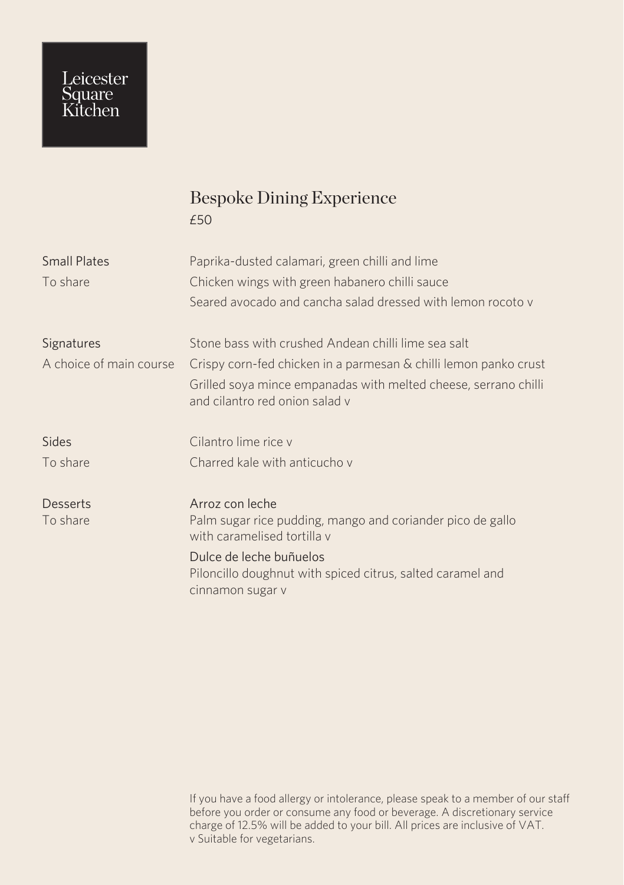## Leicester<br>Square<br>Kitchen

## Bespoke Dining Experience £50

| <b>Small Plates</b><br>To share | Paprika-dusted calamari, green chilli and lime<br>Chicken wings with green habanero chilli sauce          |
|---------------------------------|-----------------------------------------------------------------------------------------------------------|
|                                 | Seared avocado and cancha salad dressed with lemon rocoto y                                               |
| Signatures                      | Stone bass with crushed Andean chilli lime sea salt                                                       |
| A choice of main course         | Crispy corn-fed chicken in a parmesan & chilli lemon panko crust                                          |
|                                 | Grilled soya mince empanadas with melted cheese, serrano chilli<br>and cilantro red onion salad y         |
| Sides                           | Cilantro lime rice y                                                                                      |
| To share                        | Charred kale with anticucho y                                                                             |
| Desserts                        | Arroz con leche                                                                                           |
| To share                        | Palm sugar rice pudding, mango and coriander pico de gallo<br>with caramelised tortilla y                 |
|                                 | Dulce de leche buñuelos<br>Piloncillo doughnut with spiced citrus, salted caramel and<br>cinnamon sugar v |
|                                 |                                                                                                           |

If you have a food allergy or intolerance, please speak to a member of our staff before you order or consume any food or beverage. A discretionary service charge of 12.5% will be added to your bill. All prices are inclusive of VAT. v Suitable for vegetarians.